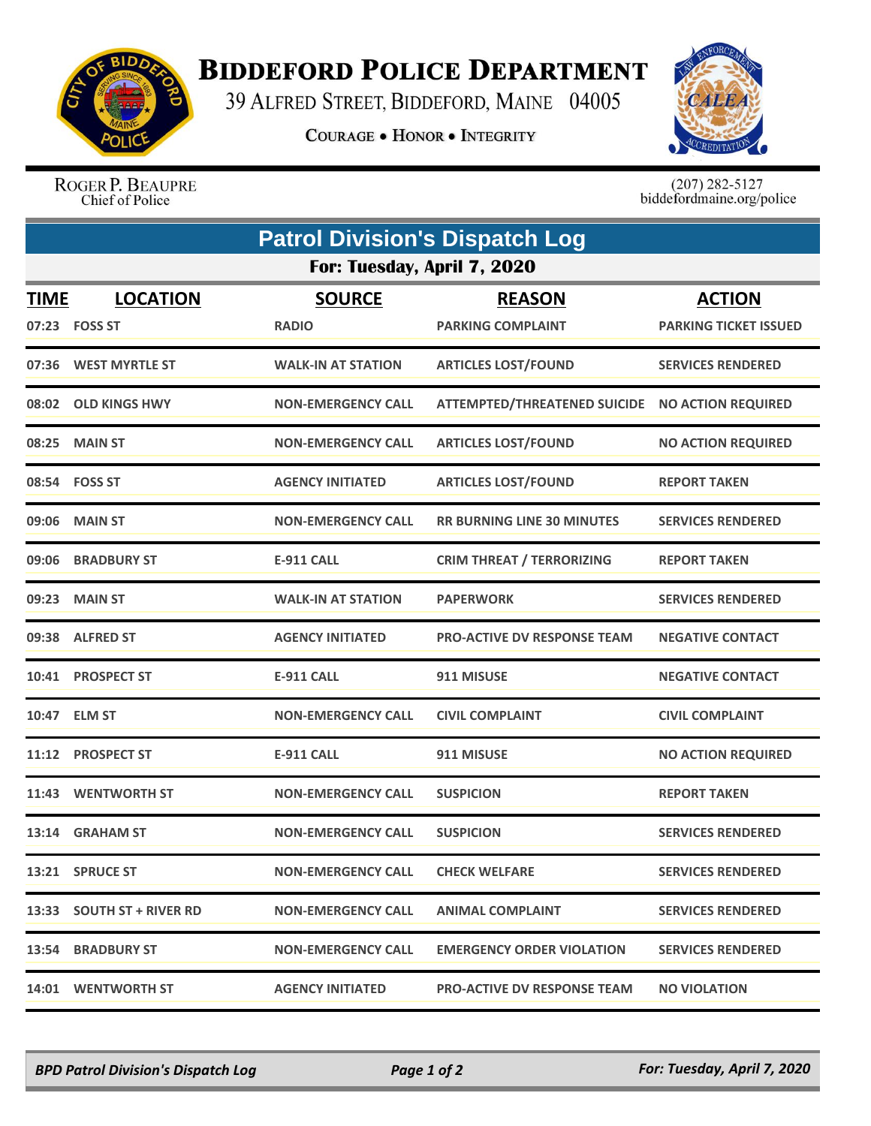

## **BIDDEFORD POLICE DEPARTMENT**

39 ALFRED STREET, BIDDEFORD, MAINE 04005

**COURAGE . HONOR . INTEGRITY** 



ROGER P. BEAUPRE Chief of Police

 $(207)$  282-5127<br>biddefordmaine.org/police

| <b>Patrol Division's Dispatch Log</b> |                                     |                               |                                           |                                               |  |  |
|---------------------------------------|-------------------------------------|-------------------------------|-------------------------------------------|-----------------------------------------------|--|--|
| For: Tuesday, April 7, 2020           |                                     |                               |                                           |                                               |  |  |
| <b>TIME</b>                           | <b>LOCATION</b><br>07:23    FOSS ST | <b>SOURCE</b><br><b>RADIO</b> | <b>REASON</b><br><b>PARKING COMPLAINT</b> | <b>ACTION</b><br><b>PARKING TICKET ISSUED</b> |  |  |
|                                       | 07:36 WEST MYRTLE ST                | <b>WALK-IN AT STATION</b>     | <b>ARTICLES LOST/FOUND</b>                | <b>SERVICES RENDERED</b>                      |  |  |
| 08:02                                 | <b>OLD KINGS HWY</b>                | <b>NON-EMERGENCY CALL</b>     | <b>ATTEMPTED/THREATENED SUICIDE</b>       | <b>NO ACTION REQUIRED</b>                     |  |  |
|                                       | 08:25 MAIN ST                       | <b>NON-EMERGENCY CALL</b>     | <b>ARTICLES LOST/FOUND</b>                | <b>NO ACTION REQUIRED</b>                     |  |  |
|                                       | 08:54 FOSS ST                       | <b>AGENCY INITIATED</b>       | <b>ARTICLES LOST/FOUND</b>                | <b>REPORT TAKEN</b>                           |  |  |
|                                       | 09:06 MAIN ST                       | <b>NON-EMERGENCY CALL</b>     | <b>RR BURNING LINE 30 MINUTES</b>         | <b>SERVICES RENDERED</b>                      |  |  |
| 09:06                                 | <b>BRADBURY ST</b>                  | <b>E-911 CALL</b>             | <b>CRIM THREAT / TERRORIZING</b>          | <b>REPORT TAKEN</b>                           |  |  |
|                                       | 09:23 MAIN ST                       | <b>WALK-IN AT STATION</b>     | <b>PAPERWORK</b>                          | <b>SERVICES RENDERED</b>                      |  |  |
|                                       | 09:38 ALFRED ST                     | <b>AGENCY INITIATED</b>       | <b>PRO-ACTIVE DV RESPONSE TEAM</b>        | <b>NEGATIVE CONTACT</b>                       |  |  |
| 10:41                                 | <b>PROSPECT ST</b>                  | <b>E-911 CALL</b>             | 911 MISUSE                                | <b>NEGATIVE CONTACT</b>                       |  |  |
|                                       | 10:47 ELM ST                        | <b>NON-EMERGENCY CALL</b>     | <b>CIVIL COMPLAINT</b>                    | <b>CIVIL COMPLAINT</b>                        |  |  |
| 11:12                                 | <b>PROSPECT ST</b>                  | <b>E-911 CALL</b>             | 911 MISUSE                                | <b>NO ACTION REQUIRED</b>                     |  |  |
| 11:43                                 | <b>WENTWORTH ST</b>                 | <b>NON-EMERGENCY CALL</b>     | <b>SUSPICION</b>                          | <b>REPORT TAKEN</b>                           |  |  |
|                                       | 13:14 GRAHAM ST                     | <b>NON-EMERGENCY CALL</b>     | <b>SUSPICION</b>                          | <b>SERVICES RENDERED</b>                      |  |  |
|                                       | 13:21 SPRUCE ST                     | <b>NON-EMERGENCY CALL</b>     | <b>CHECK WELFARE</b>                      | <b>SERVICES RENDERED</b>                      |  |  |
|                                       | 13:33 SOUTH ST + RIVER RD           | <b>NON-EMERGENCY CALL</b>     | <b>ANIMAL COMPLAINT</b>                   | <b>SERVICES RENDERED</b>                      |  |  |
|                                       | <b>13:54 BRADBURY ST</b>            | <b>NON-EMERGENCY CALL</b>     | <b>EMERGENCY ORDER VIOLATION</b>          | <b>SERVICES RENDERED</b>                      |  |  |
|                                       | 14:01 WENTWORTH ST                  | <b>AGENCY INITIATED</b>       | <b>PRO-ACTIVE DV RESPONSE TEAM</b>        | <b>NO VIOLATION</b>                           |  |  |